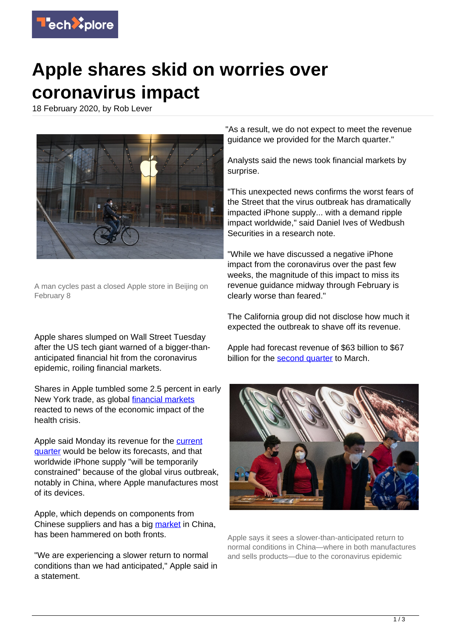

## **Apple shares skid on worries over coronavirus impact**

18 February 2020, by Rob Lever



A man cycles past a closed Apple store in Beijing on February 8

Apple shares slumped on Wall Street Tuesday after the US tech giant warned of a bigger-thananticipated financial hit from the coronavirus epidemic, roiling financial markets.

Shares in Apple tumbled some 2.5 percent in early New York trade, as global *financial markets* reacted to news of the economic impact of the health crisis.

Apple said Monday its revenue for the [current](https://techxplore.com/tags/current+quarter/) [quarter](https://techxplore.com/tags/current+quarter/) would be below its forecasts, and that worldwide iPhone supply "will be temporarily constrained" because of the global virus outbreak, notably in China, where Apple manufactures most of its devices.

Apple, which depends on components from Chinese suppliers and has a big [market](https://techxplore.com/tags/market/) in China, has been hammered on both fronts.

"We are experiencing a slower return to normal conditions than we had anticipated," Apple said in a statement.

"As a result, we do not expect to meet the revenue guidance we provided for the March quarter."

Analysts said the news took financial markets by surprise.

"This unexpected news confirms the worst fears of the Street that the virus outbreak has dramatically impacted iPhone supply... with a demand ripple impact worldwide," said Daniel Ives of Wedbush Securities in a research note.

"While we have discussed a negative iPhone impact from the coronavirus over the past few weeks, the magnitude of this impact to miss its revenue guidance midway through February is clearly worse than feared."

The California group did not disclose how much it expected the outbreak to shave off its revenue.

Apple had forecast revenue of \$63 billion to \$67 billion for the [second quarter](https://techxplore.com/tags/second+quarter/) to March.



Apple says it sees a slower-than-anticipated return to normal conditions in China—where in both manufactures and sells products—due to the coronavirus epidemic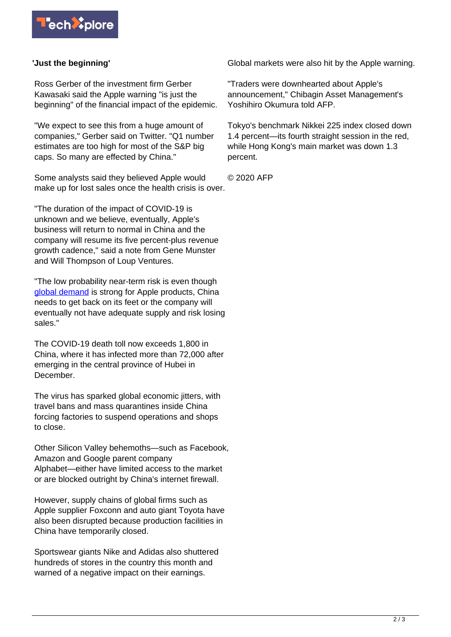

## **'Just the beginning'**

Ross Gerber of the investment firm Gerber Kawasaki said the Apple warning "is just the beginning" of the financial impact of the epidemic.

"We expect to see this from a huge amount of companies," Gerber said on Twitter. "Q1 number estimates are too high for most of the S&P big caps. So many are effected by China."

Some analysts said they believed Apple would make up for lost sales once the health crisis is over.

"The duration of the impact of COVID-19 is unknown and we believe, eventually, Apple's business will return to normal in China and the company will resume its five percent-plus revenue growth cadence," said a note from Gene Munster and Will Thompson of Loup Ventures.

"The low probability near-term risk is even though [global demand](https://techxplore.com/tags/global+demand/) is strong for Apple products, China needs to get back on its feet or the company will eventually not have adequate supply and risk losing sales."

The COVID-19 death toll now exceeds 1,800 in China, where it has infected more than 72,000 after emerging in the central province of Hubei in December.

The virus has sparked global economic jitters, with travel bans and mass quarantines inside China forcing factories to suspend operations and shops to close.

Other Silicon Valley behemoths—such as Facebook, Amazon and Google parent company Alphabet—either have limited access to the market or are blocked outright by China's internet firewall.

However, supply chains of global firms such as Apple supplier Foxconn and auto giant Toyota have also been disrupted because production facilities in China have temporarily closed.

Sportswear giants Nike and Adidas also shuttered hundreds of stores in the country this month and warned of a negative impact on their earnings.

Global markets were also hit by the Apple warning.

"Traders were downhearted about Apple's announcement," Chibagin Asset Management's Yoshihiro Okumura told AFP.

Tokyo's benchmark Nikkei 225 index closed down 1.4 percent—its fourth straight session in the red, while Hong Kong's main market was down 1.3 percent.

© 2020 AFP